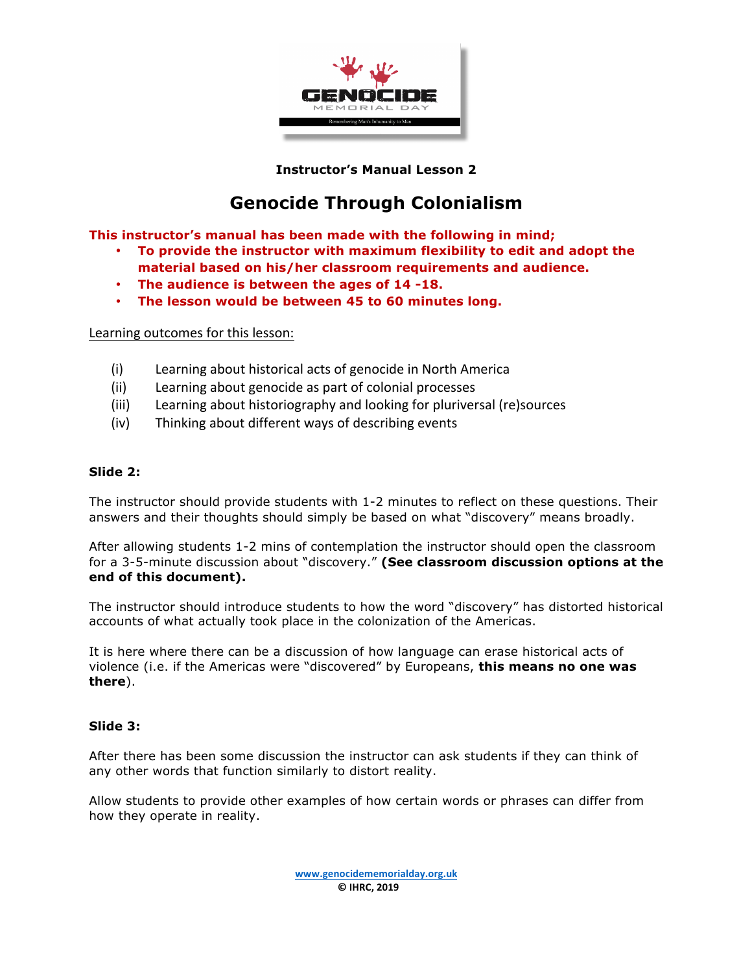

**Instructor's Manual Lesson 2**

# **Genocide Through Colonialism**

**This instructor's manual has been made with the following in mind;**

- **To provide the instructor with maximum flexibility to edit and adopt the material based on his/her classroom requirements and audience.**
- **The audience is between the ages of 14 -18.**
- **The lesson would be between 45 to 60 minutes long.**

Learning outcomes for this lesson:

- (i) Learning about historical acts of genocide in North America
- (ii) Learning about genocide as part of colonial processes
- (iii) Learning about historiography and looking for pluriversal (re)sources
- $(iv)$  Thinking about different ways of describing events

## **Slide 2:**

The instructor should provide students with 1-2 minutes to reflect on these questions. Their answers and their thoughts should simply be based on what "discovery" means broadly.

After allowing students 1-2 mins of contemplation the instructor should open the classroom for a 3-5-minute discussion about "discovery." **(See classroom discussion options at the end of this document).**

The instructor should introduce students to how the word "discovery" has distorted historical accounts of what actually took place in the colonization of the Americas.

It is here where there can be a discussion of how language can erase historical acts of violence (i.e. if the Americas were "discovered" by Europeans, **this means no one was there**).

## **Slide 3:**

After there has been some discussion the instructor can ask students if they can think of any other words that function similarly to distort reality.

Allow students to provide other examples of how certain words or phrases can differ from how they operate in reality.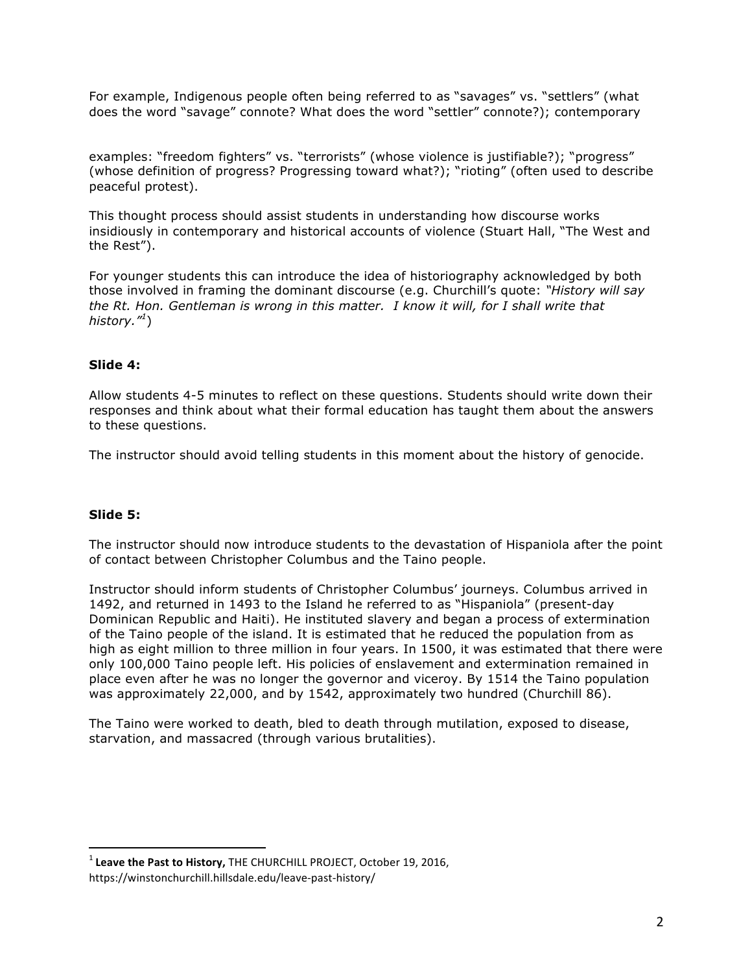For example, Indigenous people often being referred to as "savages" vs. "settlers" (what does the word "savage" connote? What does the word "settler" connote?); contemporary

examples: "freedom fighters" vs. "terrorists" (whose violence is justifiable?); "progress" (whose definition of progress? Progressing toward what?); "rioting" (often used to describe peaceful protest).

This thought process should assist students in understanding how discourse works insidiously in contemporary and historical accounts of violence (Stuart Hall, "The West and the Rest").

For younger students this can introduce the idea of historiography acknowledged by both those involved in framing the dominant discourse (e.g. Churchill's quote: *"History will say the Rt. Hon. Gentleman is wrong in this matter. I know it will, for I shall write that history."<sup>1</sup>* )

# **Slide 4:**

Allow students 4-5 minutes to reflect on these questions. Students should write down their responses and think about what their formal education has taught them about the answers to these questions.

The instructor should avoid telling students in this moment about the history of genocide.

## **Slide 5:**

The instructor should now introduce students to the devastation of Hispaniola after the point of contact between Christopher Columbus and the Taino people.

Instructor should inform students of Christopher Columbus' journeys. Columbus arrived in 1492, and returned in 1493 to the Island he referred to as "Hispaniola" (present-day Dominican Republic and Haiti). He instituted slavery and began a process of extermination of the Taino people of the island. It is estimated that he reduced the population from as high as eight million to three million in four years. In 1500, it was estimated that there were only 100,000 Taino people left. His policies of enslavement and extermination remained in place even after he was no longer the governor and viceroy. By 1514 the Taino population was approximately 22,000, and by 1542, approximately two hundred (Churchill 86).

The Taino were worked to death, bled to death through mutilation, exposed to disease, starvation, and massacred (through various brutalities).

<sup>&</sup>lt;sup>1</sup> Leave the Past to History, THE CHURCHILL PROJECT, October 19, 2016,

https://winstonchurchill.hillsdale.edu/leave-past-history/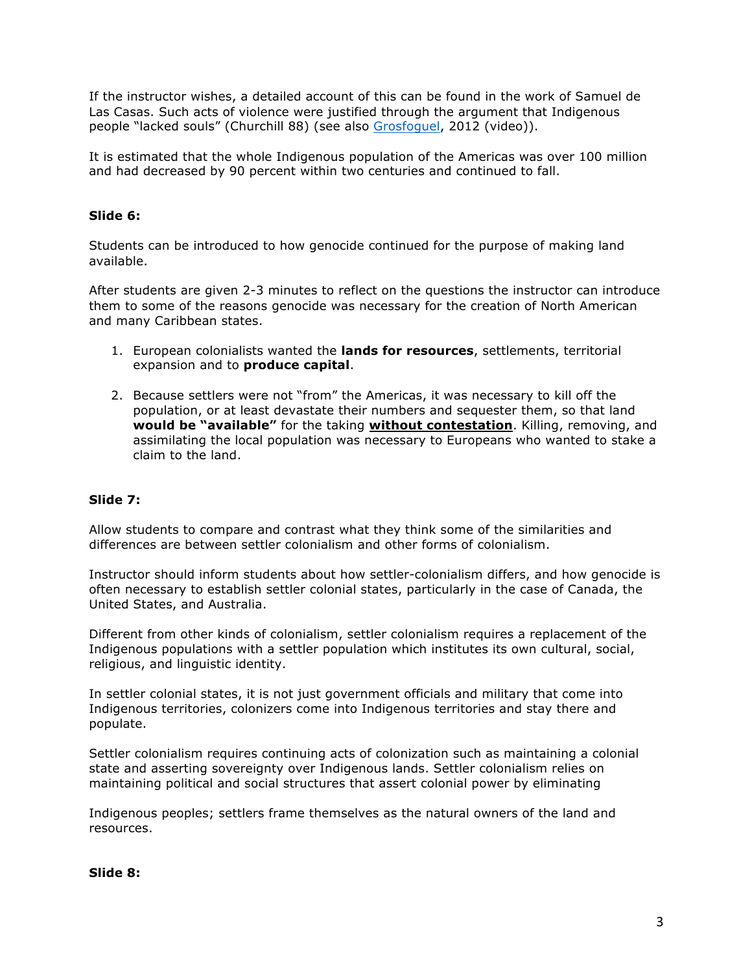If the instructor wishes, a detailed account of this can be found in the work of Samuel de Las Casas. Such acts of violence were justified through the argument that Indigenous people "lacked souls" (Churchill 88) (see also Grosfoguel, 2012 (video)).

It is estimated that the whole Indigenous population of the Americas was over 100 million and had decreased by 90 percent within two centuries and continued to fall.

# **Slide 6:**

Students can be introduced to how genocide continued for the purpose of making land available.

After students are given 2-3 minutes to reflect on the questions the instructor can introduce them to some of the reasons genocide was necessary for the creation of North American and many Caribbean states.

- 1. European colonialists wanted the **lands for resources**, settlements, territorial expansion and to **produce capital**.
- 2. Because settlers were not "from" the Americas, it was necessary to kill off the population, or at least devastate their numbers and sequester them, so that land **would be "available"** for the taking **without contestation**. Killing, removing, and assimilating the local population was necessary to Europeans who wanted to stake a claim to the land.

## **Slide 7:**

Allow students to compare and contrast what they think some of the similarities and differences are between settler colonialism and other forms of colonialism.

Instructor should inform students about how settler-colonialism differs, and how genocide is often necessary to establish settler colonial states, particularly in the case of Canada, the United States, and Australia.

Different from other kinds of colonialism, settler colonialism requires a replacement of the Indigenous populations with a settler population which institutes its own cultural, social, religious, and linguistic identity.

In settler colonial states, it is not just government officials and military that come into Indigenous territories, colonizers come into Indigenous territories and stay there and populate.

Settler colonialism requires continuing acts of colonization such as maintaining a colonial state and asserting sovereignty over Indigenous lands. Settler colonialism relies on maintaining political and social structures that assert colonial power by eliminating

Indigenous peoples; settlers frame themselves as the natural owners of the land and resources.

#### **Slide 8:**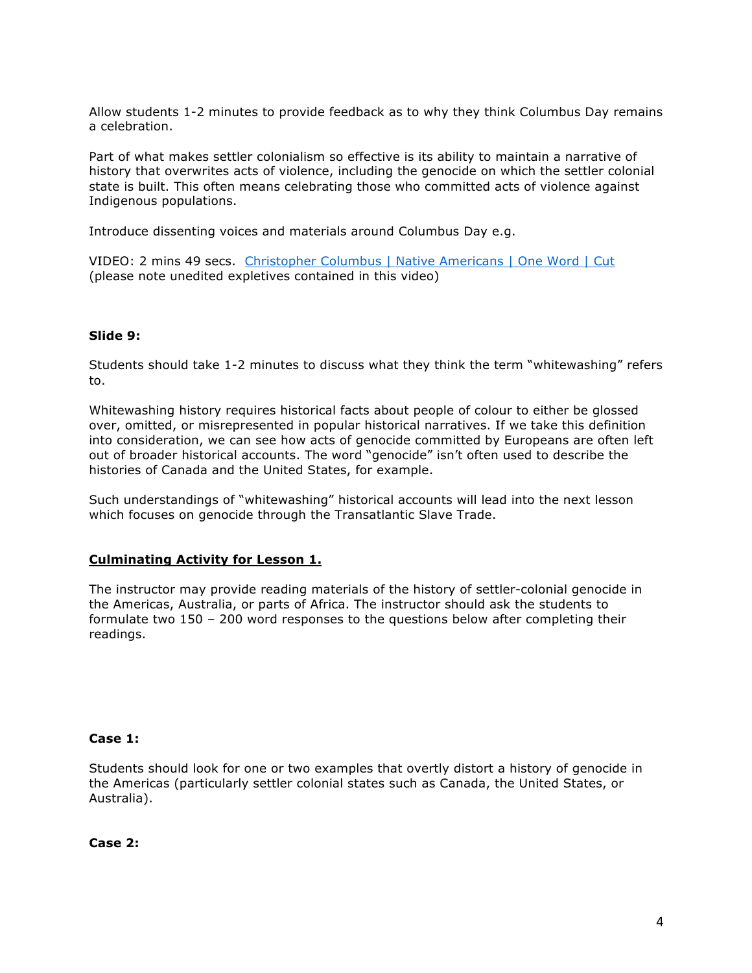Allow students 1-2 minutes to provide feedback as to why they think Columbus Day remains a celebration.

Part of what makes settler colonialism so effective is its ability to maintain a narrative of history that overwrites acts of violence, including the genocide on which the settler colonial state is built. This often means celebrating those who committed acts of violence against Indigenous populations.

Introduce dissenting voices and materials around Columbus Day e.g.

VIDEO: 2 mins 49 secs. Christopher Columbus | Native Americans | One Word | Cut (please note unedited expletives contained in this video)

## **Slide 9:**

Students should take 1-2 minutes to discuss what they think the term "whitewashing" refers to.

Whitewashing history requires historical facts about people of colour to either be glossed over, omitted, or misrepresented in popular historical narratives. If we take this definition into consideration, we can see how acts of genocide committed by Europeans are often left out of broader historical accounts. The word "genocide" isn't often used to describe the histories of Canada and the United States, for example.

Such understandings of "whitewashing" historical accounts will lead into the next lesson which focuses on genocide through the Transatlantic Slave Trade.

#### **Culminating Activity for Lesson 1.**

The instructor may provide reading materials of the history of settler-colonial genocide in the Americas, Australia, or parts of Africa. The instructor should ask the students to formulate two 150 – 200 word responses to the questions below after completing their readings.

#### **Case 1:**

Students should look for one or two examples that overtly distort a history of genocide in the Americas (particularly settler colonial states such as Canada, the United States, or Australia).

**Case 2:**